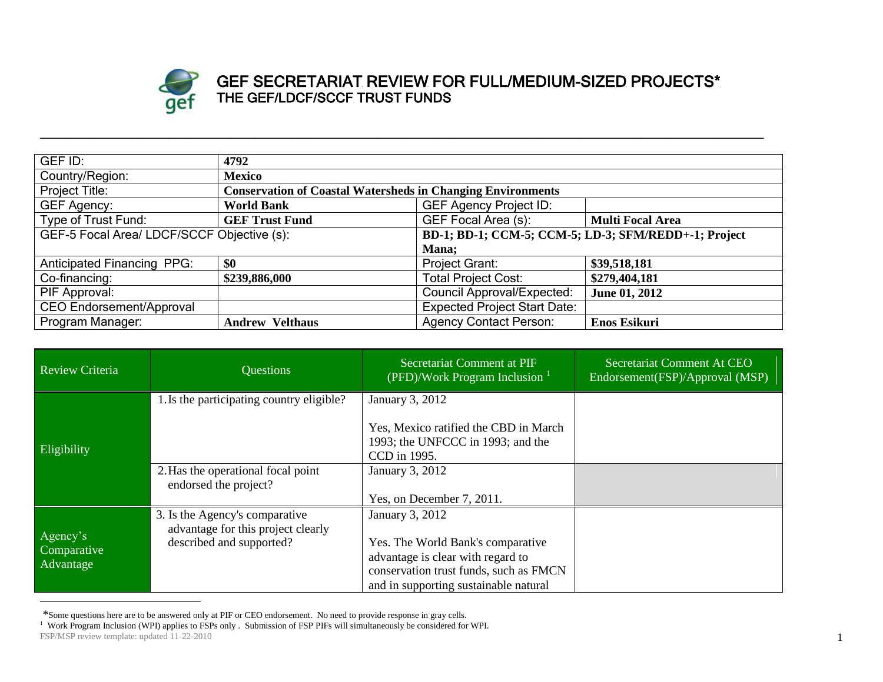

## GEF SECRETARIAT REVIEW FOR FULL/MEDIUM-SIZED PROJECTS\* THE GEF/LDCF/SCCF TRUST FUNDS

| GEF ID:                                    | 4792                                                               |                                                      |                         |  |
|--------------------------------------------|--------------------------------------------------------------------|------------------------------------------------------|-------------------------|--|
| Country/Region:                            | <b>Mexico</b>                                                      |                                                      |                         |  |
| Project Title:                             | <b>Conservation of Coastal Watersheds in Changing Environments</b> |                                                      |                         |  |
| <b>GEF Agency:</b>                         | <b>World Bank</b>                                                  | <b>GEF Agency Project ID:</b>                        |                         |  |
| Type of Trust Fund:                        | <b>GEF Trust Fund</b>                                              | GEF Focal Area (s):                                  | <b>Multi Focal Area</b> |  |
| GEF-5 Focal Area/ LDCF/SCCF Objective (s): |                                                                    | BD-1; BD-1; CCM-5; CCM-5; LD-3; SFM/REDD+-1; Project |                         |  |
| Mana;                                      |                                                                    |                                                      |                         |  |
| <b>Anticipated Financing PPG:</b>          | \$0                                                                | <b>Project Grant:</b>                                | \$39,518,181            |  |
| Co-financing:                              | \$239,886,000                                                      | <b>Total Project Cost:</b>                           | \$279,404,181           |  |
| PIF Approval:                              |                                                                    | <b>Council Approval/Expected:</b>                    | June 01, 2012           |  |
| <b>CEO Endorsement/Approval</b>            |                                                                    | <b>Expected Project Start Date:</b>                  |                         |  |
| Program Manager:                           | <b>Andrew Velthaus</b>                                             | <b>Agency Contact Person:</b>                        | <b>Enos Esikuri</b>     |  |

**\_\_\_\_\_\_\_\_\_\_\_\_\_\_\_\_\_\_\_\_\_\_\_\_\_\_\_\_\_\_\_\_\_\_\_\_\_\_\_\_\_\_\_\_\_\_\_\_\_\_\_\_\_\_\_\_\_\_\_\_\_\_\_\_\_\_\_\_\_\_\_\_\_\_\_\_\_\_\_\_\_\_\_\_\_\_\_\_\_\_\_\_\_\_\_\_\_\_\_\_\_\_\_\_\_\_\_\_\_\_\_\_\_\_\_\_\_\_**

| Review Criteria                      | Questions                                                                                        | Secretariat Comment at PIF<br>$\sqrt{\text{PFD}/\text{Work Program Inclusion}^1}$                                                                                            | Secretariat Comment At CEO<br>Endorsement(FSP)/Approval (MSP) |
|--------------------------------------|--------------------------------------------------------------------------------------------------|------------------------------------------------------------------------------------------------------------------------------------------------------------------------------|---------------------------------------------------------------|
| Eligibility                          | 1. Is the participating country eligible?                                                        | January 3, 2012<br>Yes, Mexico ratified the CBD in March<br>1993; the UNFCCC in 1993; and the<br>CCD in 1995.                                                                |                                                               |
|                                      | 2. Has the operational focal point<br>endorsed the project?                                      | January 3, 2012<br>Yes, on December 7, 2011.                                                                                                                                 |                                                               |
| Agency's<br>Comparative<br>Advantage | 3. Is the Agency's comparative<br>advantage for this project clearly<br>described and supported? | January 3, 2012<br>Yes. The World Bank's comparative<br>advantage is clear with regard to<br>conservation trust funds, such as FMCN<br>and in supporting sustainable natural |                                                               |

<sup>\*</sup>Some questions here are to be answered only at PIF or CEO endorsement. No need to provide response in gray cells.

FSP/MSP review template: updated 11-22-2010 <sup>1</sup> Work Program Inclusion (WPI) applies to FSPs only . Submission of FSP PIFs will simultaneously be considered for WPI.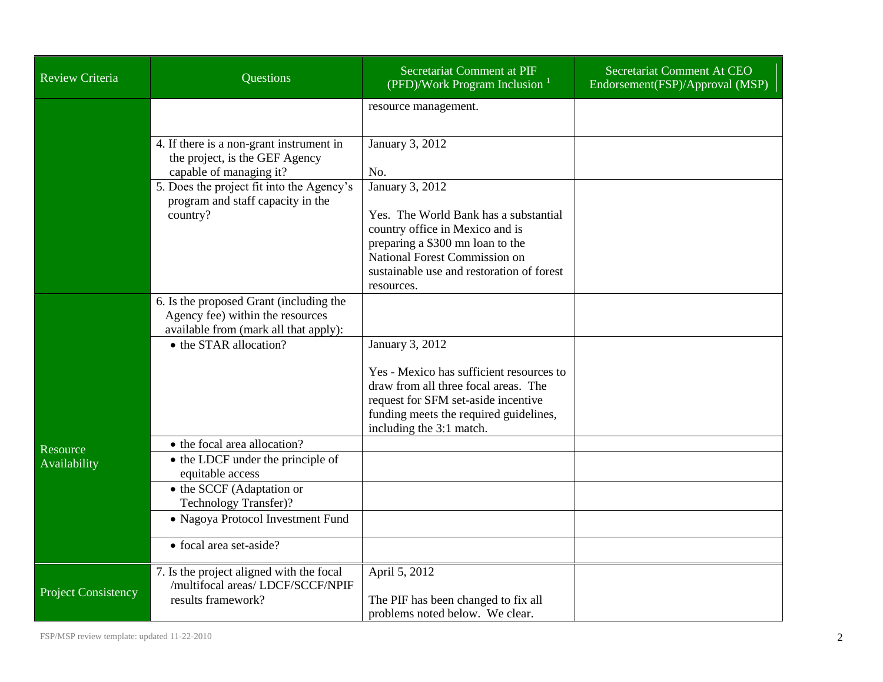| <b>Review Criteria</b>     | Questions                                                                                                            | Secretariat Comment at PIF<br>(PFD)/Work Program Inclusion $1$                                                                                                                                                              | Secretariat Comment At CEO<br>Endorsement(FSP)/Approval (MSP) |
|----------------------------|----------------------------------------------------------------------------------------------------------------------|-----------------------------------------------------------------------------------------------------------------------------------------------------------------------------------------------------------------------------|---------------------------------------------------------------|
|                            |                                                                                                                      | resource management.                                                                                                                                                                                                        |                                                               |
|                            | 4. If there is a non-grant instrument in<br>the project, is the GEF Agency<br>capable of managing it?                | January 3, 2012<br>No.                                                                                                                                                                                                      |                                                               |
|                            | 5. Does the project fit into the Agency's<br>program and staff capacity in the<br>country?                           | January 3, 2012<br>Yes. The World Bank has a substantial<br>country office in Mexico and is<br>preparing a \$300 mn loan to the<br>National Forest Commission on<br>sustainable use and restoration of forest<br>resources. |                                                               |
|                            | 6. Is the proposed Grant (including the<br>Agency fee) within the resources<br>available from (mark all that apply): |                                                                                                                                                                                                                             |                                                               |
|                            | • the STAR allocation?                                                                                               | January 3, 2012                                                                                                                                                                                                             |                                                               |
|                            |                                                                                                                      | Yes - Mexico has sufficient resources to<br>draw from all three focal areas. The<br>request for SFM set-aside incentive<br>funding meets the required guidelines,<br>including the 3:1 match.                               |                                                               |
| Resource<br>Availability   | • the focal area allocation?<br>• the LDCF under the principle of<br>equitable access                                |                                                                                                                                                                                                                             |                                                               |
|                            | • the SCCF (Adaptation or<br>Technology Transfer)?                                                                   |                                                                                                                                                                                                                             |                                                               |
|                            | · Nagoya Protocol Investment Fund<br>• focal area set-aside?                                                         |                                                                                                                                                                                                                             |                                                               |
| <b>Project Consistency</b> | 7. Is the project aligned with the focal<br>/multifocal areas/ LDCF/SCCF/NPIF<br>results framework?                  | April 5, 2012<br>The PIF has been changed to fix all<br>problems noted below. We clear.                                                                                                                                     |                                                               |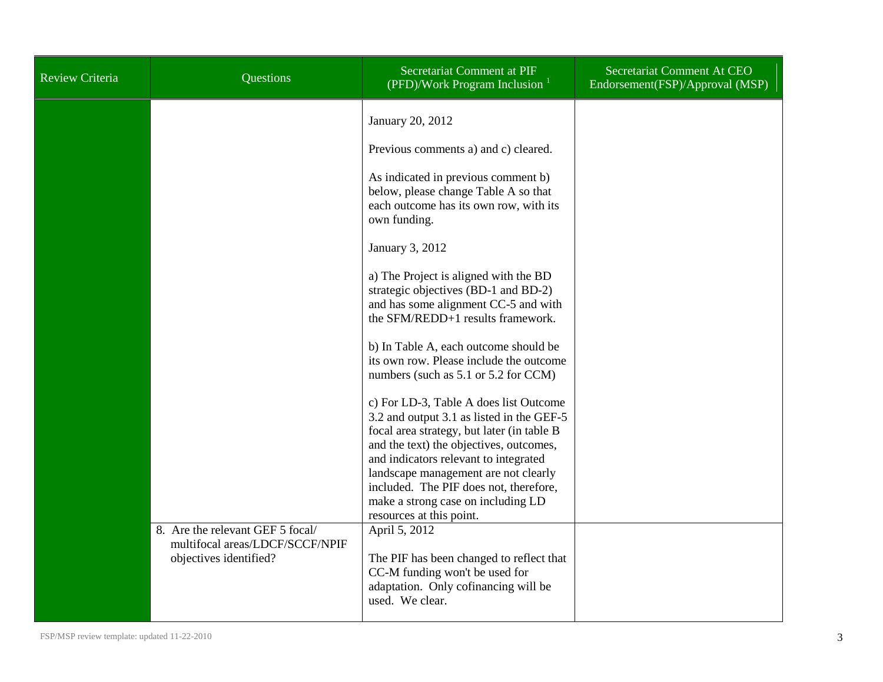| Review Criteria | Questions                                                                                     | <b>Secretariat Comment at PIF</b><br>(PFD)/Work Program Inclusion <sup>1</sup>                                                                                                                                                                                                                                                                                                                                                                                                                                                                                                                                                                                                                                                                                                  | Secretariat Comment At CEO<br>Endorsement(FSP)/Approval (MSP) |
|-----------------|-----------------------------------------------------------------------------------------------|---------------------------------------------------------------------------------------------------------------------------------------------------------------------------------------------------------------------------------------------------------------------------------------------------------------------------------------------------------------------------------------------------------------------------------------------------------------------------------------------------------------------------------------------------------------------------------------------------------------------------------------------------------------------------------------------------------------------------------------------------------------------------------|---------------------------------------------------------------|
|                 |                                                                                               | January 20, 2012<br>Previous comments a) and c) cleared.<br>As indicated in previous comment b)<br>below, please change Table A so that<br>each outcome has its own row, with its<br>own funding.<br>January 3, 2012<br>a) The Project is aligned with the BD<br>strategic objectives (BD-1 and BD-2)<br>and has some alignment CC-5 and with<br>the SFM/REDD+1 results framework.<br>b) In Table A, each outcome should be<br>its own row. Please include the outcome<br>numbers (such as 5.1 or 5.2 for CCM)<br>c) For LD-3, Table A does list Outcome<br>3.2 and output 3.1 as listed in the GEF-5<br>focal area strategy, but later (in table B<br>and the text) the objectives, outcomes,<br>and indicators relevant to integrated<br>landscape management are not clearly |                                                               |
|                 |                                                                                               | included. The PIF does not, therefore,<br>make a strong case on including LD<br>resources at this point.                                                                                                                                                                                                                                                                                                                                                                                                                                                                                                                                                                                                                                                                        |                                                               |
|                 | 8. Are the relevant GEF 5 focal/<br>multifocal areas/LDCF/SCCF/NPIF<br>objectives identified? | April 5, 2012<br>The PIF has been changed to reflect that<br>CC-M funding won't be used for<br>adaptation. Only cofinancing will be<br>used. We clear.                                                                                                                                                                                                                                                                                                                                                                                                                                                                                                                                                                                                                          |                                                               |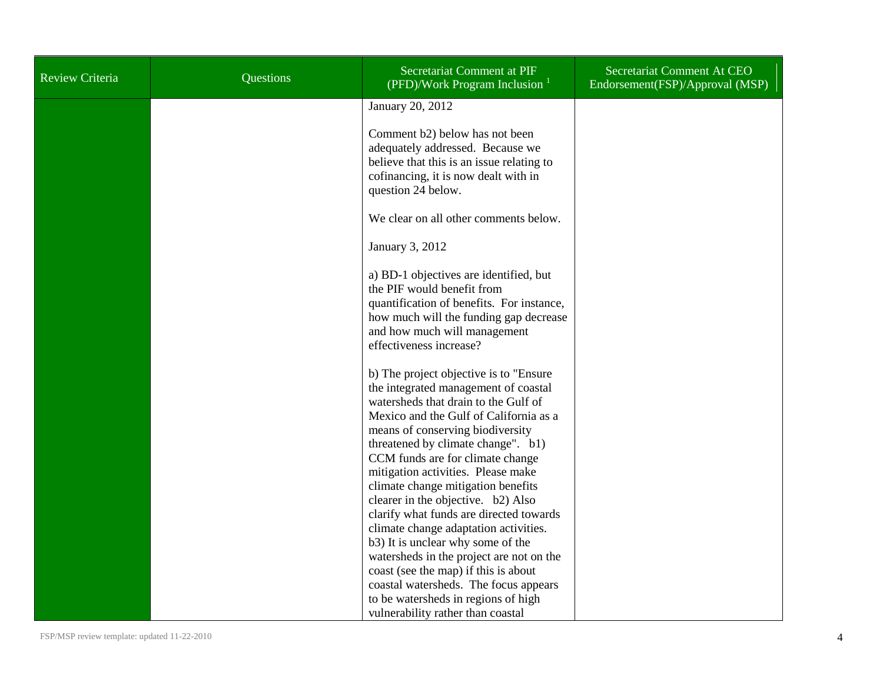| Review Criteria | Questions | Secretariat Comment at PIF<br>(PFD)/Work Program Inclusion $1$                                                                                                                                                                                                                                                                                                                                                                                                                                                                                                                                                                                         | Secretariat Comment At CEO<br>Endorsement(FSP)/Approval (MSP) |
|-----------------|-----------|--------------------------------------------------------------------------------------------------------------------------------------------------------------------------------------------------------------------------------------------------------------------------------------------------------------------------------------------------------------------------------------------------------------------------------------------------------------------------------------------------------------------------------------------------------------------------------------------------------------------------------------------------------|---------------------------------------------------------------|
|                 |           | January 20, 2012                                                                                                                                                                                                                                                                                                                                                                                                                                                                                                                                                                                                                                       |                                                               |
|                 |           | Comment b2) below has not been<br>adequately addressed. Because we<br>believe that this is an issue relating to<br>cofinancing, it is now dealt with in<br>question 24 below.                                                                                                                                                                                                                                                                                                                                                                                                                                                                          |                                                               |
|                 |           | We clear on all other comments below.                                                                                                                                                                                                                                                                                                                                                                                                                                                                                                                                                                                                                  |                                                               |
|                 |           | January 3, 2012                                                                                                                                                                                                                                                                                                                                                                                                                                                                                                                                                                                                                                        |                                                               |
|                 |           | a) BD-1 objectives are identified, but<br>the PIF would benefit from<br>quantification of benefits. For instance,<br>how much will the funding gap decrease<br>and how much will management<br>effectiveness increase?                                                                                                                                                                                                                                                                                                                                                                                                                                 |                                                               |
|                 |           | b) The project objective is to "Ensure<br>the integrated management of coastal<br>watersheds that drain to the Gulf of<br>Mexico and the Gulf of California as a<br>means of conserving biodiversity<br>threatened by climate change". b1)<br>CCM funds are for climate change<br>mitigation activities. Please make<br>climate change mitigation benefits<br>clearer in the objective. b2) Also<br>clarify what funds are directed towards<br>climate change adaptation activities.<br>b3) It is unclear why some of the<br>watersheds in the project are not on the<br>coast (see the map) if this is about<br>coastal watersheds. The focus appears |                                                               |
|                 |           | to be watersheds in regions of high<br>vulnerability rather than coastal                                                                                                                                                                                                                                                                                                                                                                                                                                                                                                                                                                               |                                                               |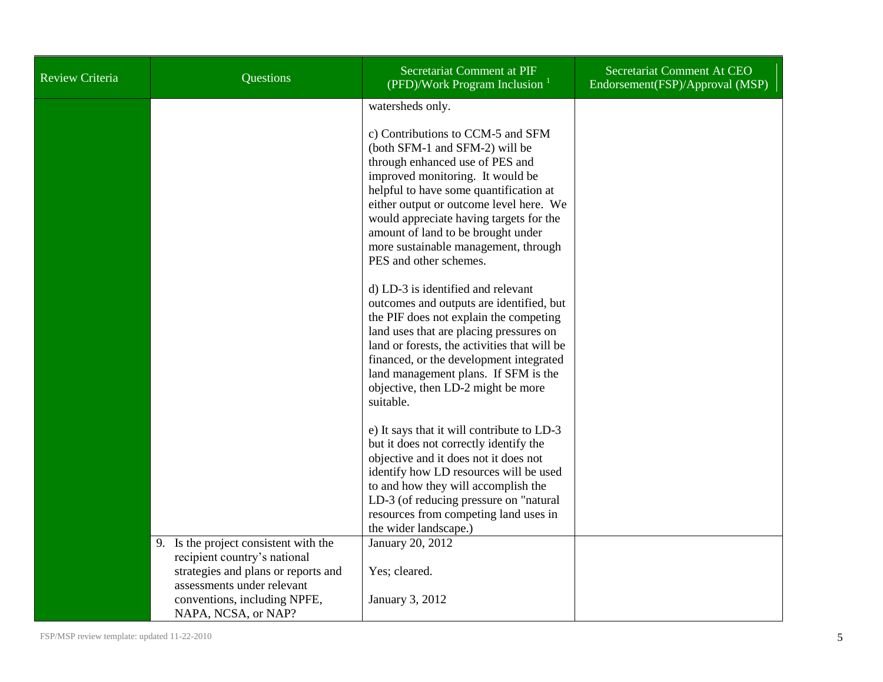| <b>Review Criteria</b> | Questions                                                                                                                                                                                         | Secretariat Comment at PIF<br>(PFD)/Work Program Inclusion $1$                                                                                                                                                                                                                                                                                                                                                                               | Secretariat Comment At CEO<br>Endorsement(FSP)/Approval (MSP) |
|------------------------|---------------------------------------------------------------------------------------------------------------------------------------------------------------------------------------------------|----------------------------------------------------------------------------------------------------------------------------------------------------------------------------------------------------------------------------------------------------------------------------------------------------------------------------------------------------------------------------------------------------------------------------------------------|---------------------------------------------------------------|
|                        |                                                                                                                                                                                                   | watersheds only.<br>c) Contributions to CCM-5 and SFM<br>(both SFM-1 and SFM-2) will be<br>through enhanced use of PES and<br>improved monitoring. It would be<br>helpful to have some quantification at<br>either output or outcome level here. We<br>would appreciate having targets for the<br>amount of land to be brought under<br>more sustainable management, through<br>PES and other schemes.<br>d) LD-3 is identified and relevant |                                                               |
|                        |                                                                                                                                                                                                   | outcomes and outputs are identified, but<br>the PIF does not explain the competing<br>land uses that are placing pressures on<br>land or forests, the activities that will be<br>financed, or the development integrated<br>land management plans. If SFM is the<br>objective, then LD-2 might be more<br>suitable.                                                                                                                          |                                                               |
|                        |                                                                                                                                                                                                   | e) It says that it will contribute to LD-3<br>but it does not correctly identify the<br>objective and it does not it does not<br>identify how LD resources will be used<br>to and how they will accomplish the<br>LD-3 (of reducing pressure on "natural"<br>resources from competing land uses in<br>the wider landscape.)                                                                                                                  |                                                               |
|                        | 9. Is the project consistent with the<br>recipient country's national<br>strategies and plans or reports and<br>assessments under relevant<br>conventions, including NPFE,<br>NAPA, NCSA, or NAP? | January 20, 2012<br>Yes; cleared.<br>January 3, 2012                                                                                                                                                                                                                                                                                                                                                                                         |                                                               |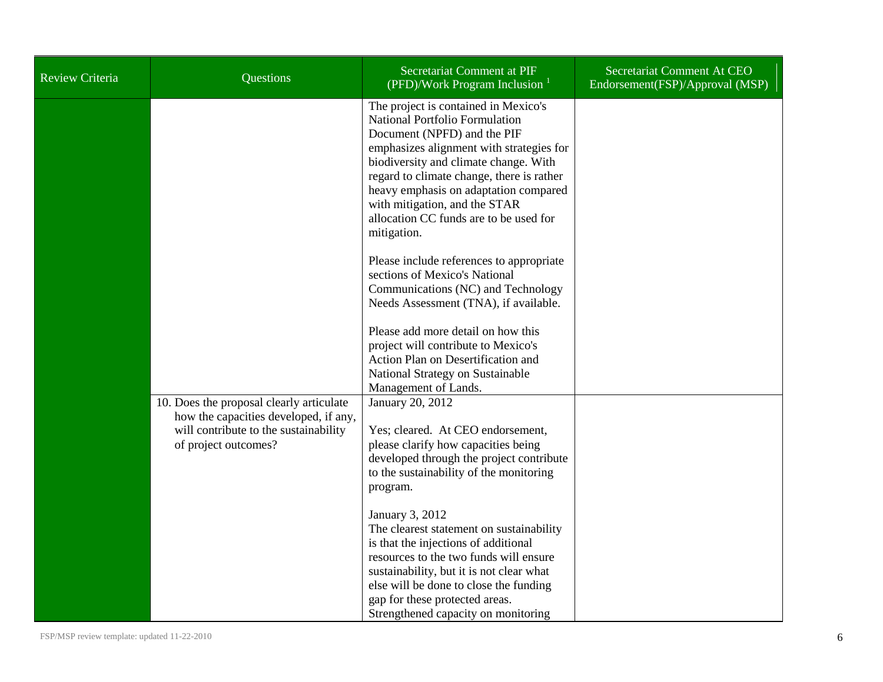| <b>Review Criteria</b> | Questions                                                                                                                                          | Secretariat Comment at PIF<br>(PFD)/Work Program Inclusion $1$                                                                                                                                                                                                                                                                                                             | Secretariat Comment At CEO<br>Endorsement(FSP)/Approval (MSP) |
|------------------------|----------------------------------------------------------------------------------------------------------------------------------------------------|----------------------------------------------------------------------------------------------------------------------------------------------------------------------------------------------------------------------------------------------------------------------------------------------------------------------------------------------------------------------------|---------------------------------------------------------------|
|                        |                                                                                                                                                    | The project is contained in Mexico's<br>National Portfolio Formulation<br>Document (NPFD) and the PIF<br>emphasizes alignment with strategies for<br>biodiversity and climate change. With<br>regard to climate change, there is rather<br>heavy emphasis on adaptation compared<br>with mitigation, and the STAR<br>allocation CC funds are to be used for<br>mitigation. |                                                               |
|                        |                                                                                                                                                    | Please include references to appropriate<br>sections of Mexico's National<br>Communications (NC) and Technology<br>Needs Assessment (TNA), if available.                                                                                                                                                                                                                   |                                                               |
|                        |                                                                                                                                                    | Please add more detail on how this<br>project will contribute to Mexico's<br>Action Plan on Desertification and<br>National Strategy on Sustainable<br>Management of Lands.                                                                                                                                                                                                |                                                               |
|                        | 10. Does the proposal clearly articulate<br>how the capacities developed, if any,<br>will contribute to the sustainability<br>of project outcomes? | January 20, 2012<br>Yes; cleared. At CEO endorsement,<br>please clarify how capacities being<br>developed through the project contribute<br>to the sustainability of the monitoring<br>program.                                                                                                                                                                            |                                                               |
|                        |                                                                                                                                                    | January 3, 2012<br>The clearest statement on sustainability<br>is that the injections of additional<br>resources to the two funds will ensure<br>sustainability, but it is not clear what<br>else will be done to close the funding<br>gap for these protected areas.<br>Strengthened capacity on monitoring                                                               |                                                               |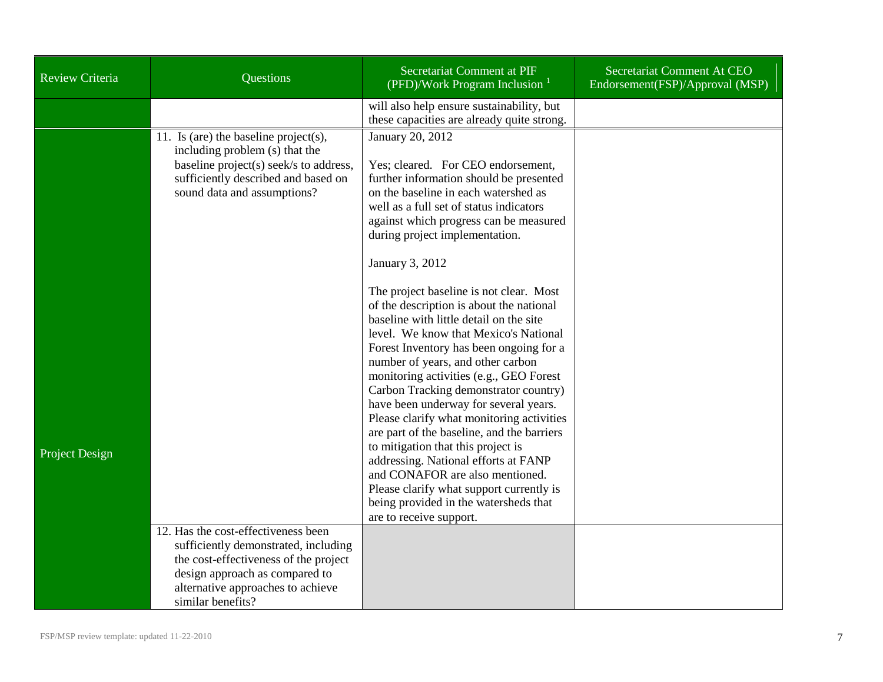| <b>Review Criteria</b> | Questions                                                                                                                                                                                                        | Secretariat Comment at PIF<br>(PFD)/Work Program Inclusion $1$                                                                                                                                                                                                                                                                                                                                                                                                                                                                                                                                                                                                                                                                                                                                                                                                                                                                                                               | Secretariat Comment At CEO<br>Endorsement(FSP)/Approval (MSP) |
|------------------------|------------------------------------------------------------------------------------------------------------------------------------------------------------------------------------------------------------------|------------------------------------------------------------------------------------------------------------------------------------------------------------------------------------------------------------------------------------------------------------------------------------------------------------------------------------------------------------------------------------------------------------------------------------------------------------------------------------------------------------------------------------------------------------------------------------------------------------------------------------------------------------------------------------------------------------------------------------------------------------------------------------------------------------------------------------------------------------------------------------------------------------------------------------------------------------------------------|---------------------------------------------------------------|
|                        |                                                                                                                                                                                                                  | will also help ensure sustainability, but<br>these capacities are already quite strong.                                                                                                                                                                                                                                                                                                                                                                                                                                                                                                                                                                                                                                                                                                                                                                                                                                                                                      |                                                               |
| Project Design         | 11. Is (are) the baseline project(s),<br>including problem (s) that the<br>baseline project(s) seek/s to address,<br>sufficiently described and based on<br>sound data and assumptions?                          | January 20, 2012<br>Yes; cleared. For CEO endorsement,<br>further information should be presented<br>on the baseline in each watershed as<br>well as a full set of status indicators<br>against which progress can be measured<br>during project implementation.<br>January 3, 2012<br>The project baseline is not clear. Most<br>of the description is about the national<br>baseline with little detail on the site<br>level. We know that Mexico's National<br>Forest Inventory has been ongoing for a<br>number of years, and other carbon<br>monitoring activities (e.g., GEO Forest<br>Carbon Tracking demonstrator country)<br>have been underway for several years.<br>Please clarify what monitoring activities<br>are part of the baseline, and the barriers<br>to mitigation that this project is<br>addressing. National efforts at FANP<br>and CONAFOR are also mentioned.<br>Please clarify what support currently is<br>being provided in the watersheds that |                                                               |
|                        | 12. Has the cost-effectiveness been<br>sufficiently demonstrated, including<br>the cost-effectiveness of the project<br>design approach as compared to<br>alternative approaches to achieve<br>similar benefits? | are to receive support.                                                                                                                                                                                                                                                                                                                                                                                                                                                                                                                                                                                                                                                                                                                                                                                                                                                                                                                                                      |                                                               |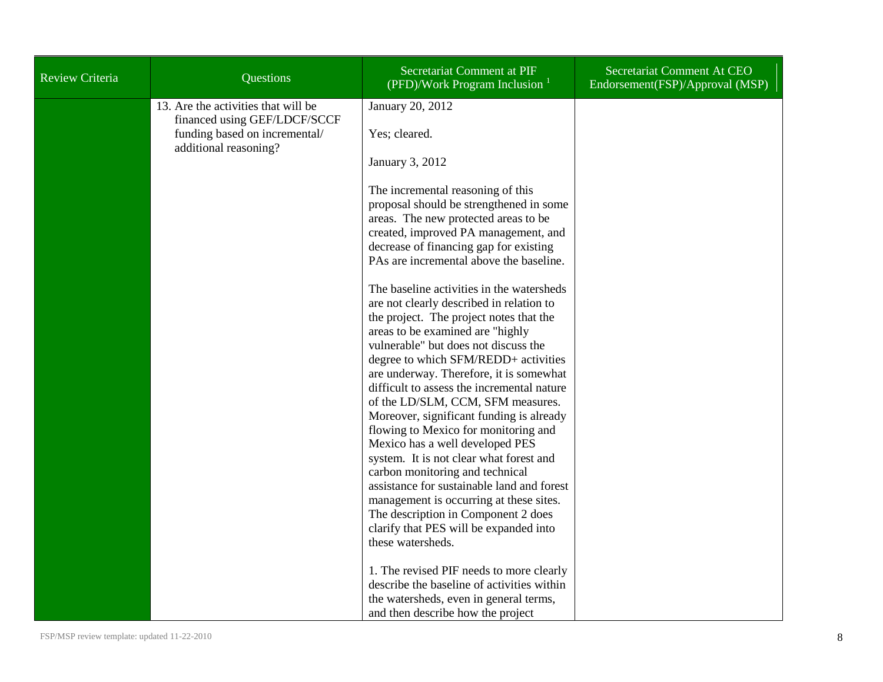| <b>Review Criteria</b> | Questions                                                           | Secretariat Comment at PIF<br>(PFD)/Work Program Inclusion $1$                                                                                                                                                                                                                                                                                                                                                                                                                                                                                                                                                                                                                                                                                                                                                                                                                             | Secretariat Comment At CEO<br>Endorsement(FSP)/Approval (MSP) |
|------------------------|---------------------------------------------------------------------|--------------------------------------------------------------------------------------------------------------------------------------------------------------------------------------------------------------------------------------------------------------------------------------------------------------------------------------------------------------------------------------------------------------------------------------------------------------------------------------------------------------------------------------------------------------------------------------------------------------------------------------------------------------------------------------------------------------------------------------------------------------------------------------------------------------------------------------------------------------------------------------------|---------------------------------------------------------------|
|                        | 13. Are the activities that will be<br>financed using GEF/LDCF/SCCF | January 20, 2012                                                                                                                                                                                                                                                                                                                                                                                                                                                                                                                                                                                                                                                                                                                                                                                                                                                                           |                                                               |
|                        | funding based on incremental/<br>additional reasoning?              | Yes; cleared.                                                                                                                                                                                                                                                                                                                                                                                                                                                                                                                                                                                                                                                                                                                                                                                                                                                                              |                                                               |
|                        |                                                                     | January 3, 2012                                                                                                                                                                                                                                                                                                                                                                                                                                                                                                                                                                                                                                                                                                                                                                                                                                                                            |                                                               |
|                        |                                                                     | The incremental reasoning of this<br>proposal should be strengthened in some<br>areas. The new protected areas to be<br>created, improved PA management, and<br>decrease of financing gap for existing<br>PAs are incremental above the baseline.<br>The baseline activities in the watersheds<br>are not clearly described in relation to<br>the project. The project notes that the<br>areas to be examined are "highly<br>vulnerable" but does not discuss the<br>degree to which SFM/REDD+ activities<br>are underway. Therefore, it is somewhat<br>difficult to assess the incremental nature<br>of the LD/SLM, CCM, SFM measures.<br>Moreover, significant funding is already<br>flowing to Mexico for monitoring and<br>Mexico has a well developed PES<br>system. It is not clear what forest and<br>carbon monitoring and technical<br>assistance for sustainable land and forest |                                                               |
|                        |                                                                     | management is occurring at these sites.<br>The description in Component 2 does                                                                                                                                                                                                                                                                                                                                                                                                                                                                                                                                                                                                                                                                                                                                                                                                             |                                                               |
|                        |                                                                     | clarify that PES will be expanded into<br>these watersheds.                                                                                                                                                                                                                                                                                                                                                                                                                                                                                                                                                                                                                                                                                                                                                                                                                                |                                                               |
|                        |                                                                     | 1. The revised PIF needs to more clearly<br>describe the baseline of activities within<br>the watersheds, even in general terms,<br>and then describe how the project                                                                                                                                                                                                                                                                                                                                                                                                                                                                                                                                                                                                                                                                                                                      |                                                               |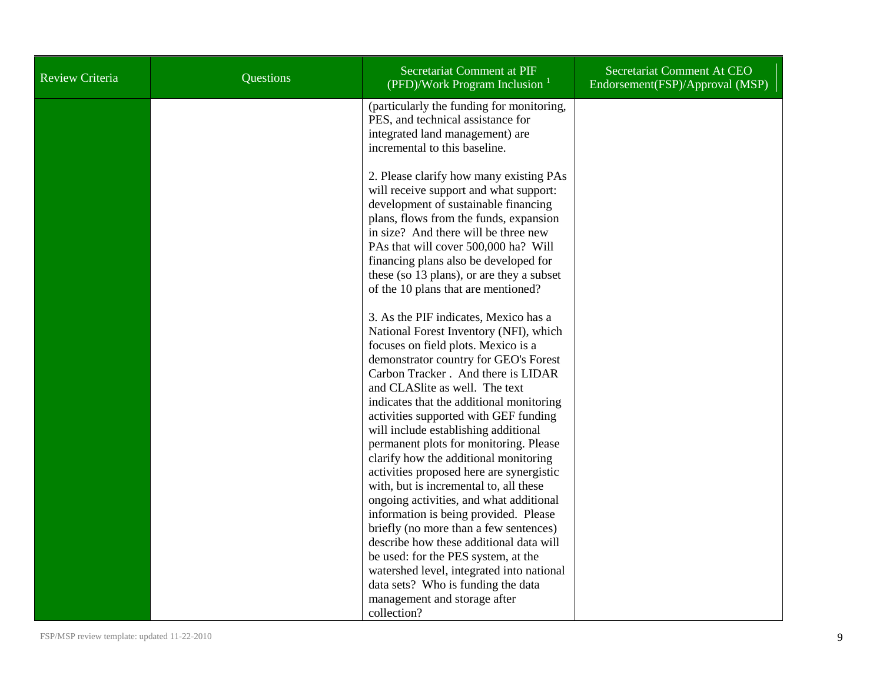| Review Criteria | Questions | Secretariat Comment at PIF<br>(PFD)/Work Program Inclusion $1$                                                                                                                                                                                                                                                                                                                                                                                          | Secretariat Comment At CEO<br>Endorsement(FSP)/Approval (MSP) |
|-----------------|-----------|---------------------------------------------------------------------------------------------------------------------------------------------------------------------------------------------------------------------------------------------------------------------------------------------------------------------------------------------------------------------------------------------------------------------------------------------------------|---------------------------------------------------------------|
|                 |           | (particularly the funding for monitoring,<br>PES, and technical assistance for<br>integrated land management) are<br>incremental to this baseline.                                                                                                                                                                                                                                                                                                      |                                                               |
|                 |           | 2. Please clarify how many existing PAs<br>will receive support and what support:<br>development of sustainable financing<br>plans, flows from the funds, expansion<br>in size? And there will be three new<br>PAs that will cover 500,000 ha? Will<br>financing plans also be developed for<br>these (so 13 plans), or are they a subset<br>of the 10 plans that are mentioned?                                                                        |                                                               |
|                 |           | 3. As the PIF indicates, Mexico has a<br>National Forest Inventory (NFI), which<br>focuses on field plots. Mexico is a<br>demonstrator country for GEO's Forest<br>Carbon Tracker. And there is LIDAR<br>and CLASlite as well. The text<br>indicates that the additional monitoring<br>activities supported with GEF funding<br>will include establishing additional<br>permanent plots for monitoring. Please<br>clarify how the additional monitoring |                                                               |
|                 |           | activities proposed here are synergistic<br>with, but is incremental to, all these<br>ongoing activities, and what additional<br>information is being provided. Please<br>briefly (no more than a few sentences)<br>describe how these additional data will<br>be used: for the PES system, at the<br>watershed level, integrated into national<br>data sets? Who is funding the data<br>management and storage after<br>collection?                    |                                                               |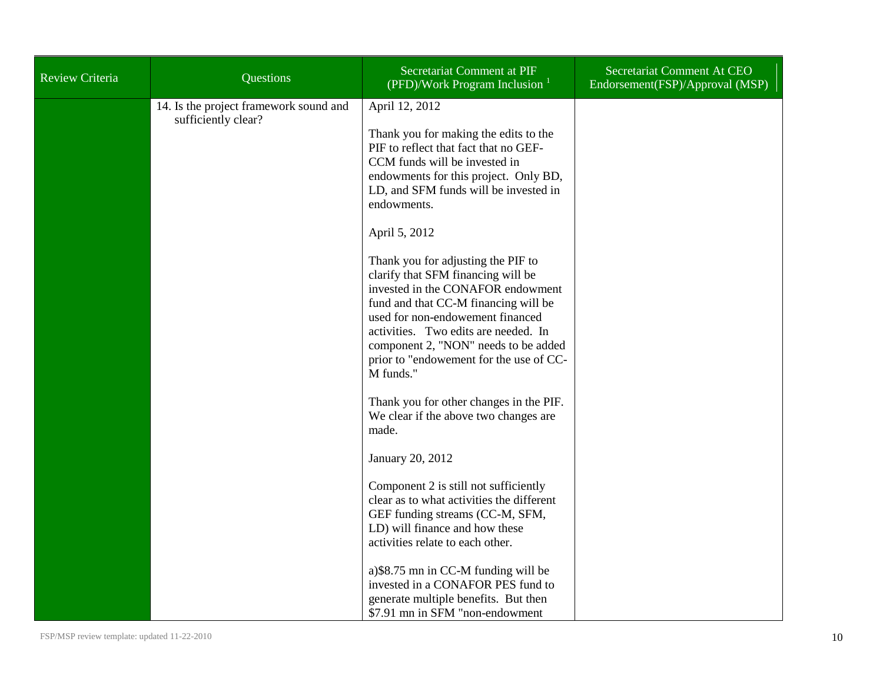| Review Criteria | Questions                                                     | Secretariat Comment at PIF<br>(PFD)/Work Program Inclusion $1$                                                                                                                                                                                                                                                                    | Secretariat Comment At CEO<br>Endorsement(FSP)/Approval (MSP) |
|-----------------|---------------------------------------------------------------|-----------------------------------------------------------------------------------------------------------------------------------------------------------------------------------------------------------------------------------------------------------------------------------------------------------------------------------|---------------------------------------------------------------|
|                 | 14. Is the project framework sound and<br>sufficiently clear? | April 12, 2012<br>Thank you for making the edits to the<br>PIF to reflect that fact that no GEF-<br>CCM funds will be invested in<br>endowments for this project. Only BD,<br>LD, and SFM funds will be invested in<br>endowments.                                                                                                |                                                               |
|                 |                                                               | April 5, 2012                                                                                                                                                                                                                                                                                                                     |                                                               |
|                 |                                                               | Thank you for adjusting the PIF to<br>clarify that SFM financing will be<br>invested in the CONAFOR endowment<br>fund and that CC-M financing will be<br>used for non-endowement financed<br>activities. Two edits are needed. In<br>component 2, "NON" needs to be added<br>prior to "endowement for the use of CC-<br>M funds." |                                                               |
|                 |                                                               | Thank you for other changes in the PIF.<br>We clear if the above two changes are<br>made.                                                                                                                                                                                                                                         |                                                               |
|                 |                                                               | January 20, 2012                                                                                                                                                                                                                                                                                                                  |                                                               |
|                 |                                                               | Component 2 is still not sufficiently<br>clear as to what activities the different<br>GEF funding streams (CC-M, SFM,<br>LD) will finance and how these<br>activities relate to each other.                                                                                                                                       |                                                               |
|                 |                                                               | a) \$8.75 mn in CC-M funding will be<br>invested in a CONAFOR PES fund to<br>generate multiple benefits. But then<br>\$7.91 mn in SFM "non-endowment"                                                                                                                                                                             |                                                               |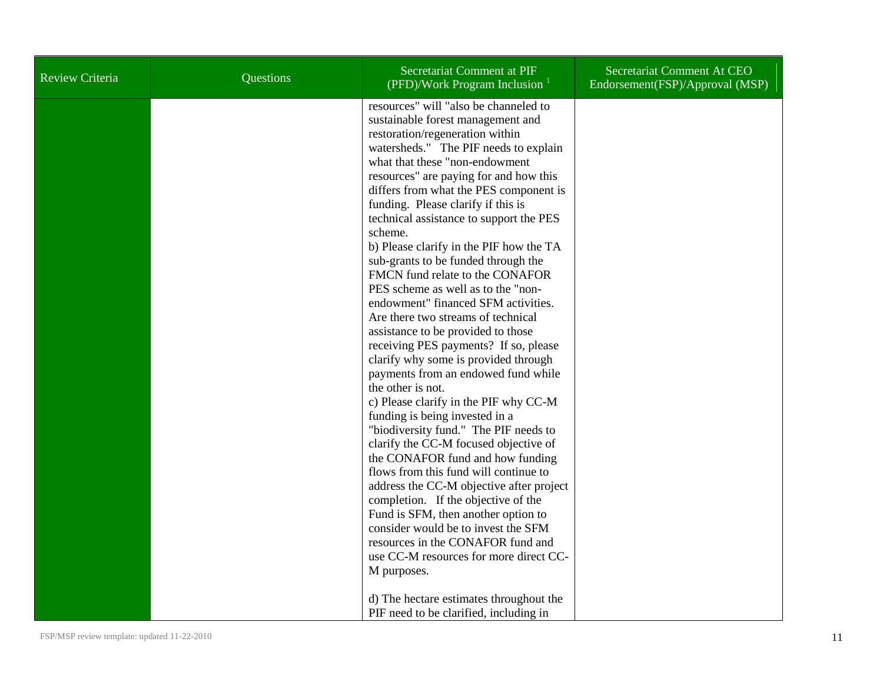| Review Criteria | Questions | Secretariat Comment at PIF<br>(PFD)/Work Program Inclusion $1$                                                                                                                                                                                                                                                                                                                                                                                                                                                                                                                                                                                                                                                                                                                                                                                                                                                                                                                                                                                                                                                                                                                                                                                                                                               | Secretariat Comment At CEO<br>Endorsement(FSP)/Approval (MSP) |
|-----------------|-----------|--------------------------------------------------------------------------------------------------------------------------------------------------------------------------------------------------------------------------------------------------------------------------------------------------------------------------------------------------------------------------------------------------------------------------------------------------------------------------------------------------------------------------------------------------------------------------------------------------------------------------------------------------------------------------------------------------------------------------------------------------------------------------------------------------------------------------------------------------------------------------------------------------------------------------------------------------------------------------------------------------------------------------------------------------------------------------------------------------------------------------------------------------------------------------------------------------------------------------------------------------------------------------------------------------------------|---------------------------------------------------------------|
|                 |           | resources" will "also be channeled to<br>sustainable forest management and<br>restoration/regeneration within<br>watersheds." The PIF needs to explain<br>what that these "non-endowment<br>resources" are paying for and how this<br>differs from what the PES component is<br>funding. Please clarify if this is<br>technical assistance to support the PES<br>scheme.<br>b) Please clarify in the PIF how the TA<br>sub-grants to be funded through the<br>FMCN fund relate to the CONAFOR<br>PES scheme as well as to the "non-<br>endowment" financed SFM activities.<br>Are there two streams of technical<br>assistance to be provided to those<br>receiving PES payments? If so, please<br>clarify why some is provided through<br>payments from an endowed fund while<br>the other is not.<br>c) Please clarify in the PIF why CC-M<br>funding is being invested in a<br>"biodiversity fund." The PIF needs to<br>clarify the CC-M focused objective of<br>the CONAFOR fund and how funding<br>flows from this fund will continue to<br>address the CC-M objective after project<br>completion. If the objective of the<br>Fund is SFM, then another option to<br>consider would be to invest the SFM<br>resources in the CONAFOR fund and<br>use CC-M resources for more direct CC-<br>M purposes. |                                                               |
|                 |           | d) The hectare estimates throughout the<br>PIF need to be clarified, including in                                                                                                                                                                                                                                                                                                                                                                                                                                                                                                                                                                                                                                                                                                                                                                                                                                                                                                                                                                                                                                                                                                                                                                                                                            |                                                               |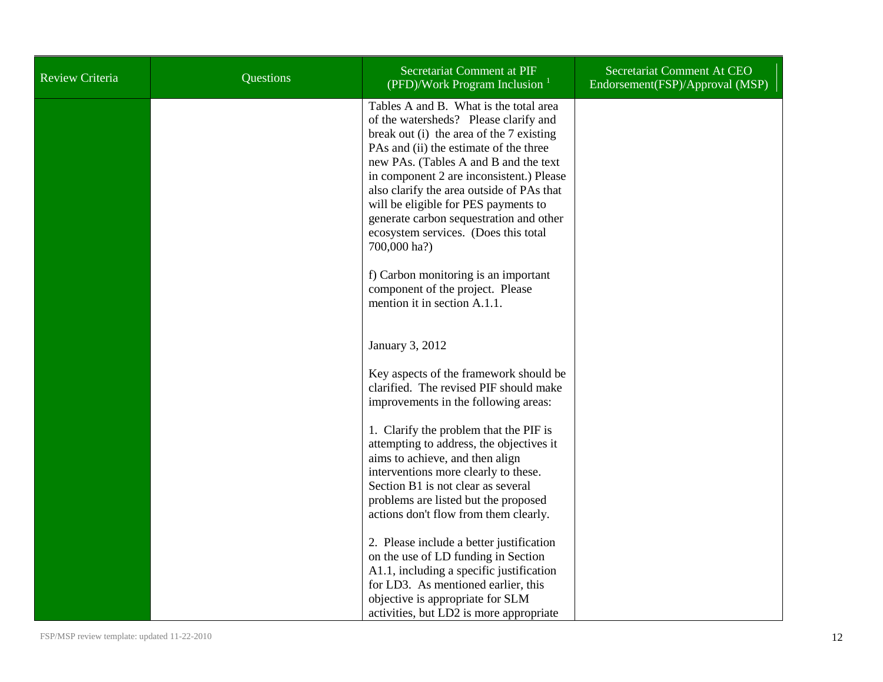| Review Criteria | Questions | Secretariat Comment at PIF<br>(PFD)/Work Program Inclusion $1$                                                                                                                                                                                                                                                                                                                                                                                                                                                                                                 | Secretariat Comment At CEO<br>Endorsement(FSP)/Approval (MSP) |
|-----------------|-----------|----------------------------------------------------------------------------------------------------------------------------------------------------------------------------------------------------------------------------------------------------------------------------------------------------------------------------------------------------------------------------------------------------------------------------------------------------------------------------------------------------------------------------------------------------------------|---------------------------------------------------------------|
|                 |           | Tables A and B. What is the total area<br>of the watersheds? Please clarify and<br>break out (i) the area of the 7 existing<br>PAs and (ii) the estimate of the three<br>new PAs. (Tables A and B and the text<br>in component 2 are inconsistent.) Please<br>also clarify the area outside of PAs that<br>will be eligible for PES payments to<br>generate carbon sequestration and other<br>ecosystem services. (Does this total<br>700,000 ha?)<br>f) Carbon monitoring is an important<br>component of the project. Please<br>mention it in section A.1.1. |                                                               |
|                 |           | January 3, 2012<br>Key aspects of the framework should be<br>clarified. The revised PIF should make<br>improvements in the following areas:<br>1. Clarify the problem that the PIF is<br>attempting to address, the objectives it<br>aims to achieve, and then align<br>interventions more clearly to these.<br>Section B1 is not clear as several<br>problems are listed but the proposed<br>actions don't flow from them clearly.                                                                                                                            |                                                               |
|                 |           | 2. Please include a better justification<br>on the use of LD funding in Section<br>A1.1, including a specific justification<br>for LD3. As mentioned earlier, this<br>objective is appropriate for SLM<br>activities, but LD2 is more appropriate                                                                                                                                                                                                                                                                                                              |                                                               |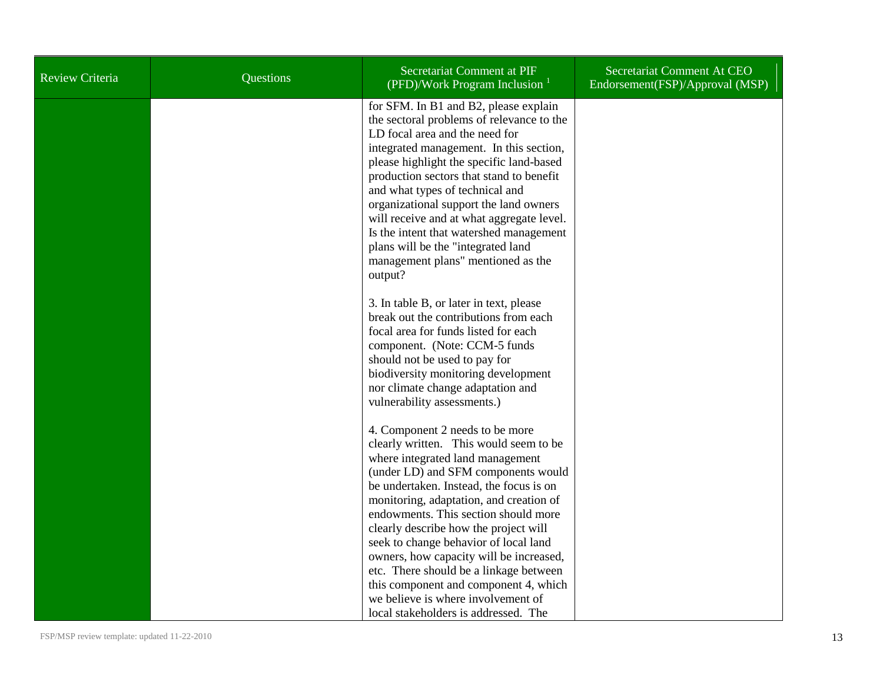| Review Criteria | Questions | Secretariat Comment at PIF<br>(PFD)/Work Program Inclusion $1$                                                                                                                                                                                                                                                                                                                                                                                                                                                                                                                   | Secretariat Comment At CEO<br>Endorsement(FSP)/Approval (MSP) |
|-----------------|-----------|----------------------------------------------------------------------------------------------------------------------------------------------------------------------------------------------------------------------------------------------------------------------------------------------------------------------------------------------------------------------------------------------------------------------------------------------------------------------------------------------------------------------------------------------------------------------------------|---------------------------------------------------------------|
|                 |           | for SFM. In B1 and B2, please explain<br>the sectoral problems of relevance to the<br>LD focal area and the need for<br>integrated management. In this section,<br>please highlight the specific land-based<br>production sectors that stand to benefit<br>and what types of technical and<br>organizational support the land owners<br>will receive and at what aggregate level.<br>Is the intent that watershed management<br>plans will be the "integrated land<br>management plans" mentioned as the<br>output?                                                              |                                                               |
|                 |           | 3. In table B, or later in text, please<br>break out the contributions from each<br>focal area for funds listed for each<br>component. (Note: CCM-5 funds<br>should not be used to pay for<br>biodiversity monitoring development<br>nor climate change adaptation and<br>vulnerability assessments.)                                                                                                                                                                                                                                                                            |                                                               |
|                 |           | 4. Component 2 needs to be more<br>clearly written. This would seem to be<br>where integrated land management<br>(under LD) and SFM components would<br>be undertaken. Instead, the focus is on<br>monitoring, adaptation, and creation of<br>endowments. This section should more<br>clearly describe how the project will<br>seek to change behavior of local land<br>owners, how capacity will be increased,<br>etc. There should be a linkage between<br>this component and component 4, which<br>we believe is where involvement of<br>local stakeholders is addressed. The |                                                               |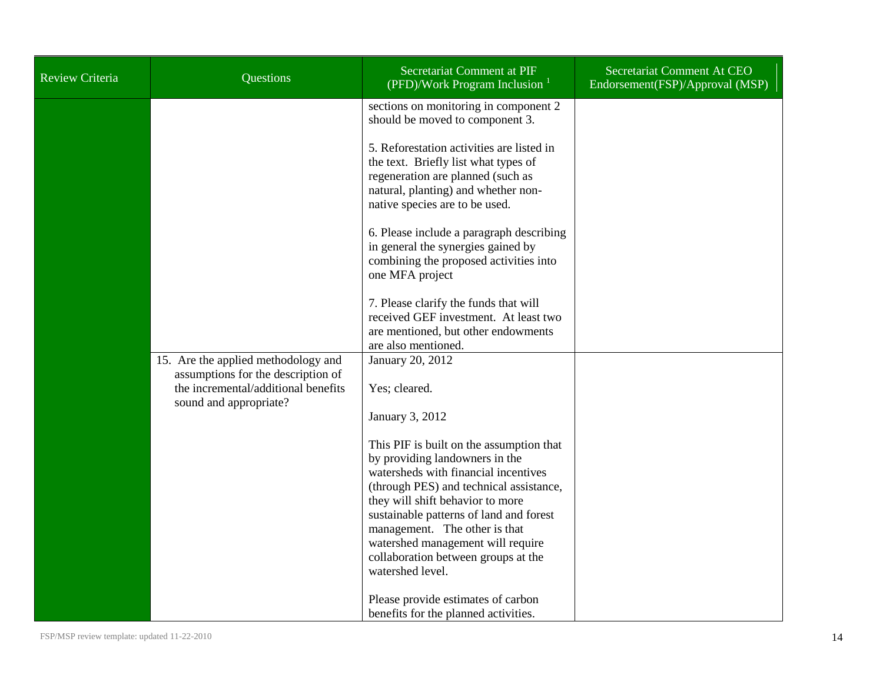| <b>Review Criteria</b> | Questions                                                                                                                                  | Secretariat Comment at PIF<br>(PFD)/Work Program Inclusion $1$                                                                                                                                                                                                                                                                                                                | Secretariat Comment At CEO<br>Endorsement(FSP)/Approval (MSP) |
|------------------------|--------------------------------------------------------------------------------------------------------------------------------------------|-------------------------------------------------------------------------------------------------------------------------------------------------------------------------------------------------------------------------------------------------------------------------------------------------------------------------------------------------------------------------------|---------------------------------------------------------------|
|                        |                                                                                                                                            | sections on monitoring in component 2<br>should be moved to component 3.                                                                                                                                                                                                                                                                                                      |                                                               |
|                        |                                                                                                                                            | 5. Reforestation activities are listed in<br>the text. Briefly list what types of<br>regeneration are planned (such as<br>natural, planting) and whether non-<br>native species are to be used.                                                                                                                                                                               |                                                               |
|                        |                                                                                                                                            | 6. Please include a paragraph describing<br>in general the synergies gained by<br>combining the proposed activities into<br>one MFA project                                                                                                                                                                                                                                   |                                                               |
|                        |                                                                                                                                            | 7. Please clarify the funds that will<br>received GEF investment. At least two<br>are mentioned, but other endowments<br>are also mentioned.                                                                                                                                                                                                                                  |                                                               |
|                        | 15. Are the applied methodology and<br>assumptions for the description of<br>the incremental/additional benefits<br>sound and appropriate? | January 20, 2012<br>Yes; cleared.<br>January 3, 2012                                                                                                                                                                                                                                                                                                                          |                                                               |
|                        |                                                                                                                                            | This PIF is built on the assumption that<br>by providing landowners in the<br>watersheds with financial incentives<br>(through PES) and technical assistance,<br>they will shift behavior to more<br>sustainable patterns of land and forest<br>management. The other is that<br>watershed management will require<br>collaboration between groups at the<br>watershed level. |                                                               |
|                        |                                                                                                                                            | Please provide estimates of carbon<br>benefits for the planned activities.                                                                                                                                                                                                                                                                                                    |                                                               |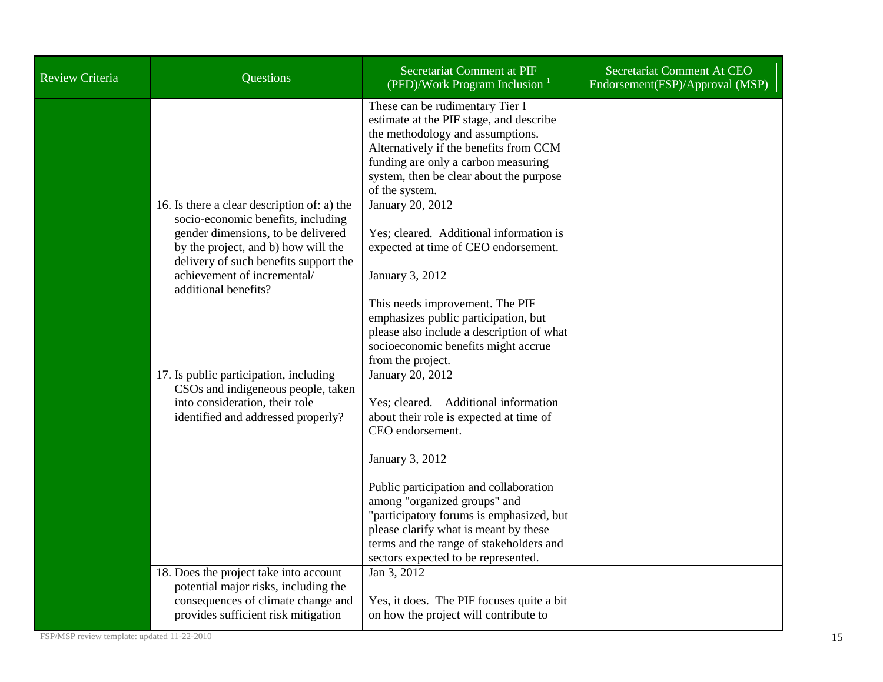| <b>Review Criteria</b> | <b>Questions</b>                                                                                                                                                                                                                                               | Secretariat Comment at PIF<br>(PFD)/Work Program Inclusion <sup>1</sup>                                                                                                                                                                                                                                                                                                                     | Secretariat Comment At CEO<br>Endorsement(FSP)/Approval (MSP) |
|------------------------|----------------------------------------------------------------------------------------------------------------------------------------------------------------------------------------------------------------------------------------------------------------|---------------------------------------------------------------------------------------------------------------------------------------------------------------------------------------------------------------------------------------------------------------------------------------------------------------------------------------------------------------------------------------------|---------------------------------------------------------------|
|                        |                                                                                                                                                                                                                                                                | These can be rudimentary Tier I<br>estimate at the PIF stage, and describe<br>the methodology and assumptions.<br>Alternatively if the benefits from CCM<br>funding are only a carbon measuring<br>system, then be clear about the purpose<br>of the system.                                                                                                                                |                                                               |
|                        | 16. Is there a clear description of: a) the<br>socio-economic benefits, including<br>gender dimensions, to be delivered<br>by the project, and b) how will the<br>delivery of such benefits support the<br>achievement of incremental/<br>additional benefits? | January 20, 2012<br>Yes; cleared. Additional information is<br>expected at time of CEO endorsement.<br>January 3, 2012<br>This needs improvement. The PIF<br>emphasizes public participation, but<br>please also include a description of what<br>socioeconomic benefits might accrue<br>from the project.                                                                                  |                                                               |
|                        | 17. Is public participation, including<br>CSOs and indigeneous people, taken<br>into consideration, their role<br>identified and addressed properly?                                                                                                           | January 20, 2012<br>Yes; cleared. Additional information<br>about their role is expected at time of<br>CEO endorsement.<br>January 3, 2012<br>Public participation and collaboration<br>among "organized groups" and<br>"participatory forums is emphasized, but<br>please clarify what is meant by these<br>terms and the range of stakeholders and<br>sectors expected to be represented. |                                                               |
|                        | 18. Does the project take into account<br>potential major risks, including the<br>consequences of climate change and<br>provides sufficient risk mitigation                                                                                                    | Jan 3, 2012<br>Yes, it does. The PIF focuses quite a bit<br>on how the project will contribute to                                                                                                                                                                                                                                                                                           |                                                               |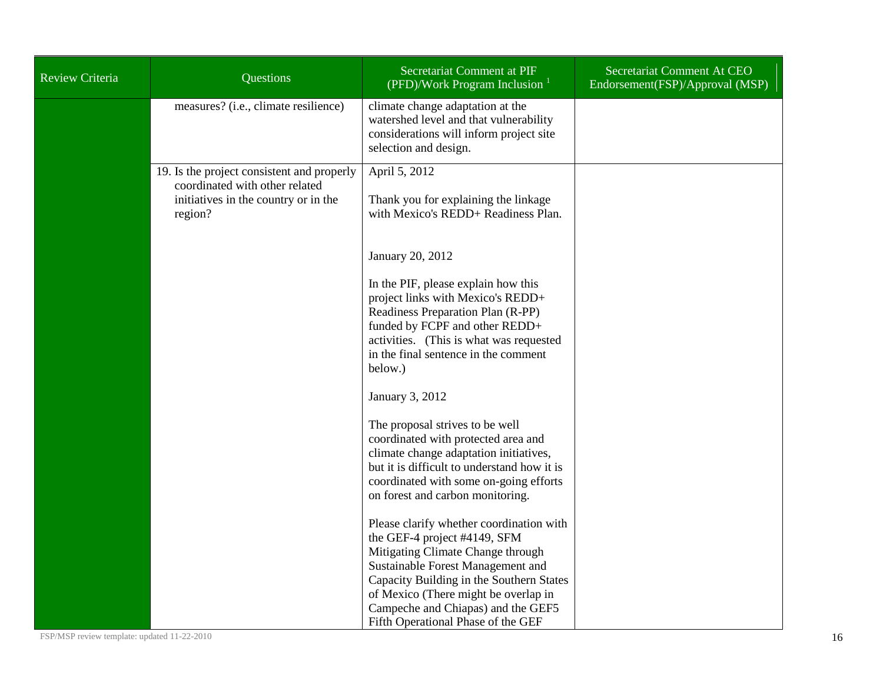| <b>Review Criteria</b> | <b>Questions</b>                                                                                                                | Secretariat Comment at PIF<br>(PFD)/Work Program Inclusion                                                                                                                                                                                                                                                         | Secretariat Comment At CEO<br>Endorsement(FSP)/Approval (MSP) |
|------------------------|---------------------------------------------------------------------------------------------------------------------------------|--------------------------------------------------------------------------------------------------------------------------------------------------------------------------------------------------------------------------------------------------------------------------------------------------------------------|---------------------------------------------------------------|
|                        | measures? (i.e., climate resilience)                                                                                            | climate change adaptation at the<br>watershed level and that vulnerability<br>considerations will inform project site<br>selection and design.                                                                                                                                                                     |                                                               |
|                        | 19. Is the project consistent and properly<br>coordinated with other related<br>initiatives in the country or in the<br>region? | April 5, 2012<br>Thank you for explaining the linkage<br>with Mexico's REDD+ Readiness Plan.                                                                                                                                                                                                                       |                                                               |
|                        |                                                                                                                                 | January 20, 2012                                                                                                                                                                                                                                                                                                   |                                                               |
|                        |                                                                                                                                 | In the PIF, please explain how this<br>project links with Mexico's REDD+<br>Readiness Preparation Plan (R-PP)<br>funded by FCPF and other REDD+<br>activities. (This is what was requested<br>in the final sentence in the comment<br>below.)                                                                      |                                                               |
|                        |                                                                                                                                 | January 3, 2012                                                                                                                                                                                                                                                                                                    |                                                               |
|                        |                                                                                                                                 | The proposal strives to be well<br>coordinated with protected area and<br>climate change adaptation initiatives,<br>but it is difficult to understand how it is<br>coordinated with some on-going efforts<br>on forest and carbon monitoring.                                                                      |                                                               |
|                        |                                                                                                                                 | Please clarify whether coordination with<br>the GEF-4 project #4149, SFM<br>Mitigating Climate Change through<br>Sustainable Forest Management and<br>Capacity Building in the Southern States<br>of Mexico (There might be overlap in<br>Campeche and Chiapas) and the GEF5<br>Fifth Operational Phase of the GEF |                                                               |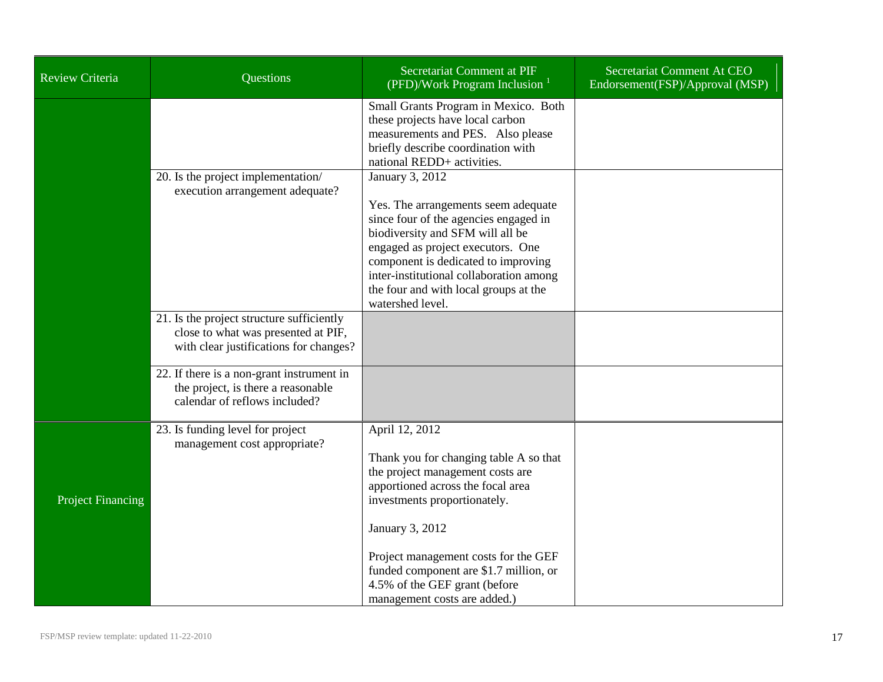| <b>Review Criteria</b>   | <b>Questions</b>                                                                                                           | Secretariat Comment at PIF<br>(PFD)/Work Program Inclusion $1$                                                                                                                                                                                                                                                          | Secretariat Comment At CEO<br>Endorsement(FSP)/Approval (MSP) |
|--------------------------|----------------------------------------------------------------------------------------------------------------------------|-------------------------------------------------------------------------------------------------------------------------------------------------------------------------------------------------------------------------------------------------------------------------------------------------------------------------|---------------------------------------------------------------|
|                          |                                                                                                                            | Small Grants Program in Mexico. Both<br>these projects have local carbon<br>measurements and PES. Also please<br>briefly describe coordination with<br>national REDD+ activities.                                                                                                                                       |                                                               |
|                          | 20. Is the project implementation/<br>execution arrangement adequate?                                                      | January 3, 2012<br>Yes. The arrangements seem adequate<br>since four of the agencies engaged in<br>biodiversity and SFM will all be<br>engaged as project executors. One<br>component is dedicated to improving<br>inter-institutional collaboration among<br>the four and with local groups at the<br>watershed level. |                                                               |
|                          | 21. Is the project structure sufficiently<br>close to what was presented at PIF,<br>with clear justifications for changes? |                                                                                                                                                                                                                                                                                                                         |                                                               |
|                          | 22. If there is a non-grant instrument in<br>the project, is there a reasonable<br>calendar of reflows included?           |                                                                                                                                                                                                                                                                                                                         |                                                               |
| <b>Project Financing</b> | 23. Is funding level for project<br>management cost appropriate?                                                           | April 12, 2012<br>Thank you for changing table A so that<br>the project management costs are<br>apportioned across the focal area<br>investments proportionately.<br>January 3, 2012<br>Project management costs for the GEF                                                                                            |                                                               |
|                          |                                                                                                                            | funded component are \$1.7 million, or<br>4.5% of the GEF grant (before<br>management costs are added.)                                                                                                                                                                                                                 |                                                               |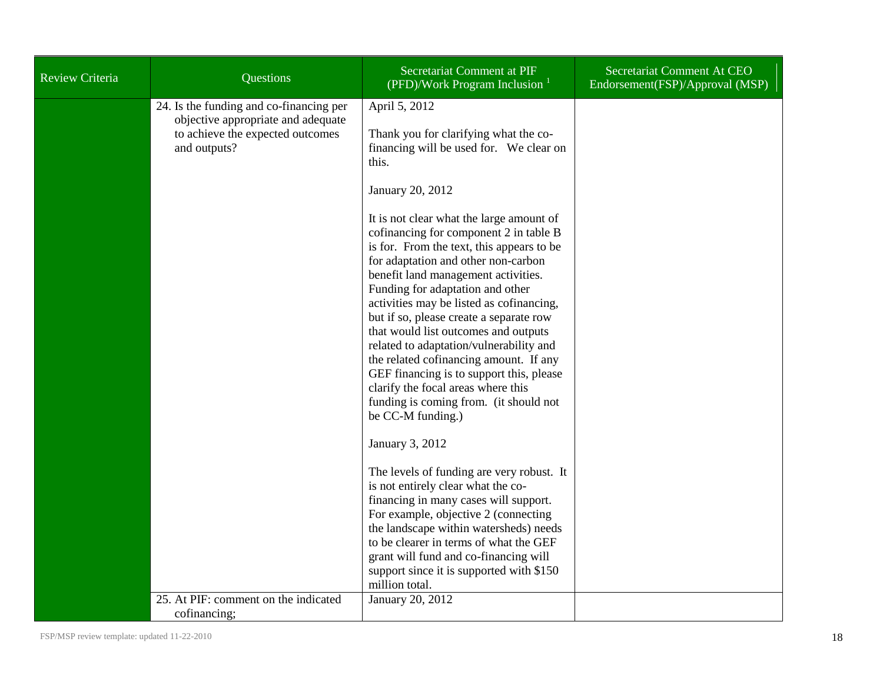| <b>Review Criteria</b> | <b>Questions</b>                                                                                                                  | Secretariat Comment at PIF<br>(PFD)/Work Program Inclusion $1$                                                                                                                                                                                                                                                                                                                                                                                                                                                                                                                                                                                                                                                                                                                                                                                                                                                                                                                                                                                                               | Secretariat Comment At CEO<br>Endorsement(FSP)/Approval (MSP) |
|------------------------|-----------------------------------------------------------------------------------------------------------------------------------|------------------------------------------------------------------------------------------------------------------------------------------------------------------------------------------------------------------------------------------------------------------------------------------------------------------------------------------------------------------------------------------------------------------------------------------------------------------------------------------------------------------------------------------------------------------------------------------------------------------------------------------------------------------------------------------------------------------------------------------------------------------------------------------------------------------------------------------------------------------------------------------------------------------------------------------------------------------------------------------------------------------------------------------------------------------------------|---------------------------------------------------------------|
|                        | 24. Is the funding and co-financing per<br>objective appropriate and adequate<br>to achieve the expected outcomes<br>and outputs? | April 5, 2012<br>Thank you for clarifying what the co-<br>financing will be used for. We clear on<br>this.<br>January 20, 2012<br>It is not clear what the large amount of<br>cofinancing for component 2 in table B<br>is for. From the text, this appears to be<br>for adaptation and other non-carbon<br>benefit land management activities.<br>Funding for adaptation and other<br>activities may be listed as cofinancing,<br>but if so, please create a separate row<br>that would list outcomes and outputs<br>related to adaptation/vulnerability and<br>the related cofinancing amount. If any<br>GEF financing is to support this, please<br>clarify the focal areas where this<br>funding is coming from. (it should not<br>be CC-M funding.)<br>January 3, 2012<br>The levels of funding are very robust. It<br>is not entirely clear what the co-<br>financing in many cases will support.<br>For example, objective 2 (connecting<br>the landscape within watersheds) needs<br>to be clearer in terms of what the GEF<br>grant will fund and co-financing will |                                                               |
|                        |                                                                                                                                   | support since it is supported with \$150<br>million total.                                                                                                                                                                                                                                                                                                                                                                                                                                                                                                                                                                                                                                                                                                                                                                                                                                                                                                                                                                                                                   |                                                               |
|                        | 25. At PIF: comment on the indicated<br>cofinancing;                                                                              | January 20, 2012                                                                                                                                                                                                                                                                                                                                                                                                                                                                                                                                                                                                                                                                                                                                                                                                                                                                                                                                                                                                                                                             |                                                               |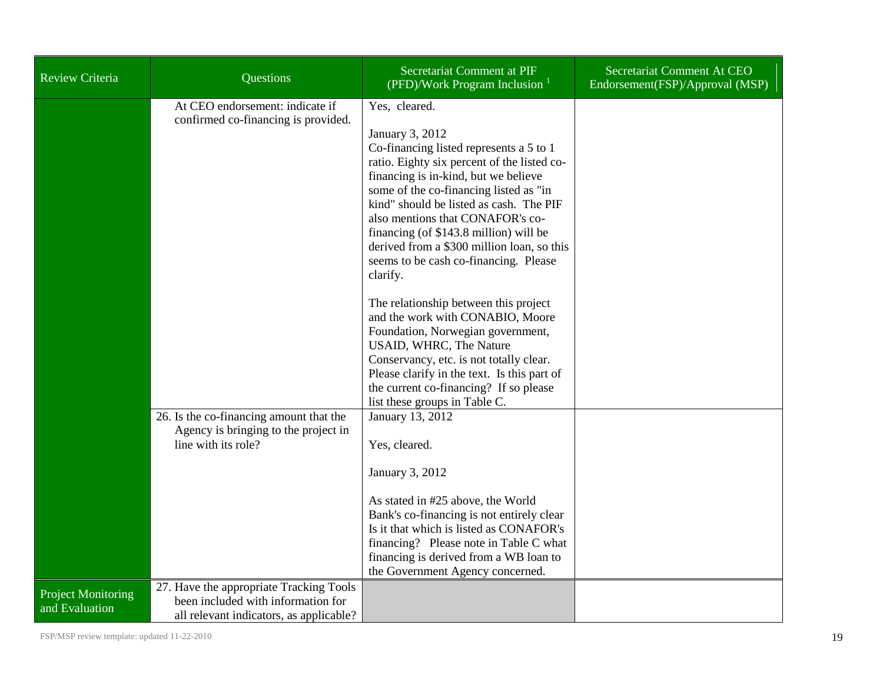| <b>Review Criteria</b>                      | Questions                                                                                                                | Secretariat Comment at PIF<br>(PFD)/Work Program Inclusion $1$                                                                                                                                                                                                                                                                                                                                                                                                                    | Secretariat Comment At CEO<br>Endorsement(FSP)/Approval (MSP) |
|---------------------------------------------|--------------------------------------------------------------------------------------------------------------------------|-----------------------------------------------------------------------------------------------------------------------------------------------------------------------------------------------------------------------------------------------------------------------------------------------------------------------------------------------------------------------------------------------------------------------------------------------------------------------------------|---------------------------------------------------------------|
|                                             | At CEO endorsement: indicate if<br>confirmed co-financing is provided.                                                   | Yes, cleared.<br>January 3, 2012<br>Co-financing listed represents a 5 to 1<br>ratio. Eighty six percent of the listed co-<br>financing is in-kind, but we believe<br>some of the co-financing listed as "in<br>kind" should be listed as cash. The PIF<br>also mentions that CONAFOR's co-<br>financing (of \$143.8 million) will be<br>derived from a \$300 million loan, so this<br>seems to be cash co-financing. Please<br>clarify.<br>The relationship between this project |                                                               |
|                                             |                                                                                                                          | and the work with CONABIO, Moore<br>Foundation, Norwegian government,<br>USAID, WHRC, The Nature<br>Conservancy, etc. is not totally clear.<br>Please clarify in the text. Is this part of<br>the current co-financing? If so please<br>list these groups in Table C.                                                                                                                                                                                                             |                                                               |
|                                             | 26. Is the co-financing amount that the<br>Agency is bringing to the project in<br>line with its role?                   | January 13, 2012<br>Yes, cleared.<br>January 3, 2012<br>As stated in #25 above, the World<br>Bank's co-financing is not entirely clear<br>Is it that which is listed as CONAFOR's<br>financing? Please note in Table C what<br>financing is derived from a WB loan to<br>the Government Agency concerned.                                                                                                                                                                         |                                                               |
| <b>Project Monitoring</b><br>and Evaluation | 27. Have the appropriate Tracking Tools<br>been included with information for<br>all relevant indicators, as applicable? |                                                                                                                                                                                                                                                                                                                                                                                                                                                                                   |                                                               |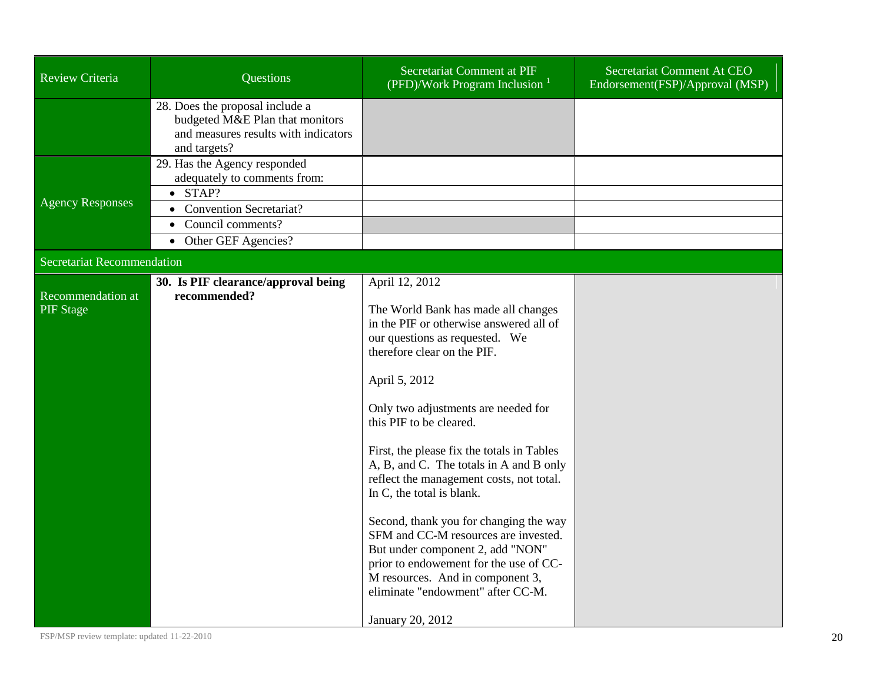| <b>Review Criteria</b>                | Questions                                                                                                                                                                  | Secretariat Comment at PIF<br>(PFD)/Work Program Inclusion $1$                                                                                                                                                                                                                                                                                                                                                                                                                                                                                                                                                                                                                      | Secretariat Comment At CEO<br>Endorsement(FSP)/Approval (MSP) |
|---------------------------------------|----------------------------------------------------------------------------------------------------------------------------------------------------------------------------|-------------------------------------------------------------------------------------------------------------------------------------------------------------------------------------------------------------------------------------------------------------------------------------------------------------------------------------------------------------------------------------------------------------------------------------------------------------------------------------------------------------------------------------------------------------------------------------------------------------------------------------------------------------------------------------|---------------------------------------------------------------|
|                                       | 28. Does the proposal include a<br>budgeted M&E Plan that monitors<br>and measures results with indicators<br>and targets?                                                 |                                                                                                                                                                                                                                                                                                                                                                                                                                                                                                                                                                                                                                                                                     |                                                               |
| <b>Agency Responses</b>               | 29. Has the Agency responded<br>adequately to comments from:<br>$\bullet$ STAP?<br><b>Convention Secretariat?</b><br>Council comments?<br>Other GEF Agencies?<br>$\bullet$ |                                                                                                                                                                                                                                                                                                                                                                                                                                                                                                                                                                                                                                                                                     |                                                               |
| <b>Secretariat Recommendation</b>     |                                                                                                                                                                            |                                                                                                                                                                                                                                                                                                                                                                                                                                                                                                                                                                                                                                                                                     |                                                               |
| Recommendation at<br><b>PIF</b> Stage | 30. Is PIF clearance/approval being<br>recommended?                                                                                                                        | April 12, 2012<br>The World Bank has made all changes<br>in the PIF or otherwise answered all of<br>our questions as requested. We<br>therefore clear on the PIF.<br>April 5, 2012<br>Only two adjustments are needed for<br>this PIF to be cleared.<br>First, the please fix the totals in Tables<br>A, B, and C. The totals in A and B only<br>reflect the management costs, not total.<br>In C, the total is blank.<br>Second, thank you for changing the way<br>SFM and CC-M resources are invested.<br>But under component 2, add "NON"<br>prior to endowement for the use of CC-<br>M resources. And in component 3,<br>eliminate "endowment" after CC-M.<br>January 20, 2012 |                                                               |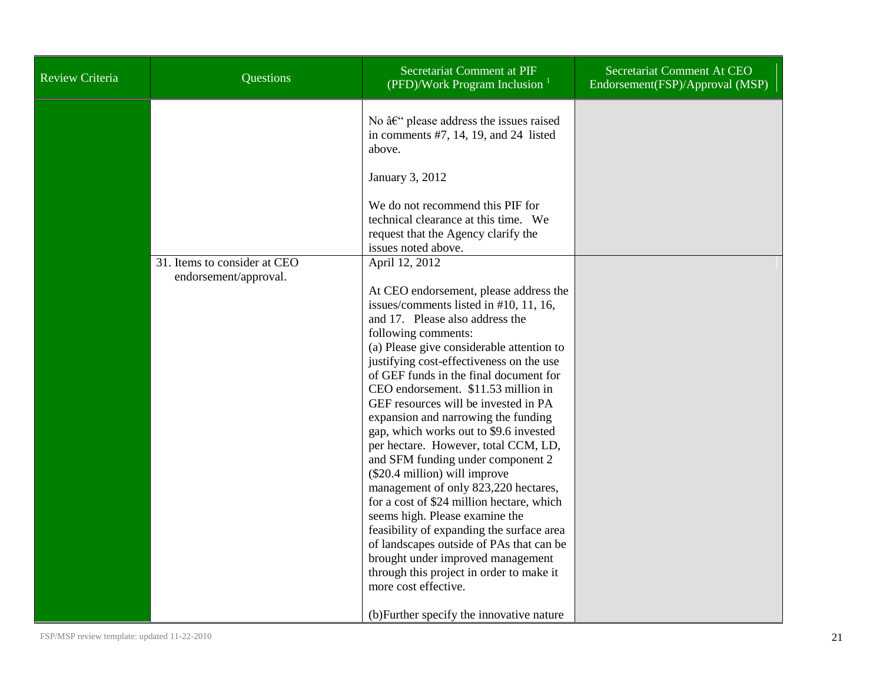| <b>Review Criteria</b> | Questions                                             | Secretariat Comment at PIF<br>(PFD)/Work Program Inclusion $1$                                                                                                                                                                                                                                                                                                                                                                                                                                                                                                                                                                                                                                                                                                                                                                                                                                                                                      | Secretariat Comment At CEO<br>Endorsement(FSP)/Approval (MSP) |
|------------------------|-------------------------------------------------------|-----------------------------------------------------------------------------------------------------------------------------------------------------------------------------------------------------------------------------------------------------------------------------------------------------------------------------------------------------------------------------------------------------------------------------------------------------------------------------------------------------------------------------------------------------------------------------------------------------------------------------------------------------------------------------------------------------------------------------------------------------------------------------------------------------------------------------------------------------------------------------------------------------------------------------------------------------|---------------------------------------------------------------|
|                        |                                                       | No $\hat{a}\in$ " please address the issues raised<br>in comments $#7$ , 14, 19, and 24 listed<br>above.<br>January 3, 2012<br>We do not recommend this PIF for                                                                                                                                                                                                                                                                                                                                                                                                                                                                                                                                                                                                                                                                                                                                                                                     |                                                               |
|                        |                                                       | technical clearance at this time. We<br>request that the Agency clarify the<br>issues noted above.                                                                                                                                                                                                                                                                                                                                                                                                                                                                                                                                                                                                                                                                                                                                                                                                                                                  |                                                               |
|                        | 31. Items to consider at CEO<br>endorsement/approval. | April 12, 2012<br>At CEO endorsement, please address the<br>issues/comments listed in #10, 11, 16,<br>and 17. Please also address the<br>following comments:<br>(a) Please give considerable attention to<br>justifying cost-effectiveness on the use<br>of GEF funds in the final document for<br>CEO endorsement. \$11.53 million in<br>GEF resources will be invested in PA<br>expansion and narrowing the funding<br>gap, which works out to \$9.6 invested<br>per hectare. However, total CCM, LD,<br>and SFM funding under component 2<br>(\$20.4 million) will improve<br>management of only 823,220 hectares,<br>for a cost of \$24 million hectare, which<br>seems high. Please examine the<br>feasibility of expanding the surface area<br>of landscapes outside of PAs that can be<br>brought under improved management<br>through this project in order to make it<br>more cost effective.<br>(b) Further specify the innovative nature |                                                               |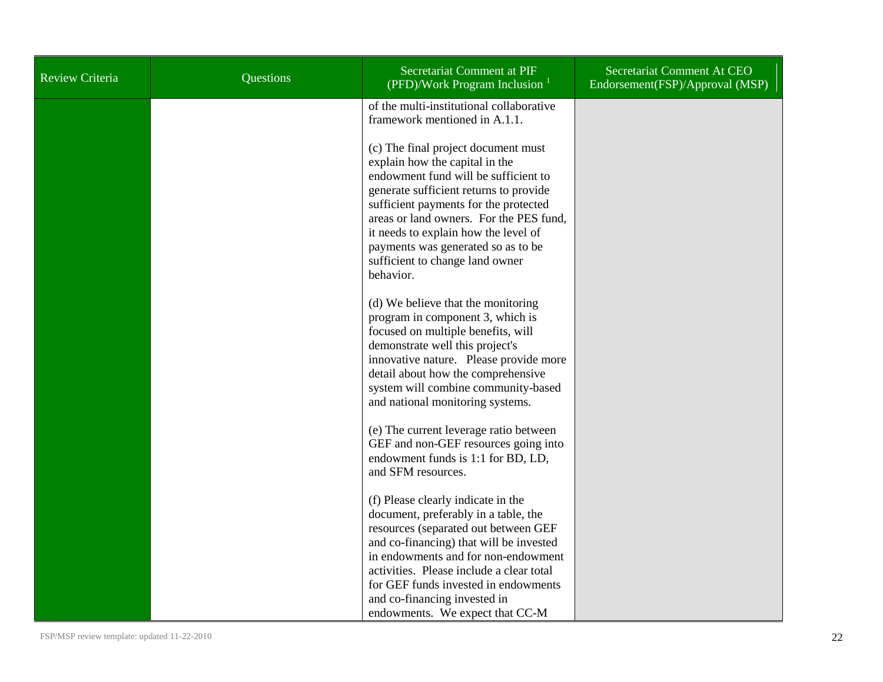| <b>Review Criteria</b> | Questions | Secretariat Comment at PIF<br>(PFD)/Work Program Inclusion $1$                                                                                                                                                                                                                                                                                                            | Secretariat Comment At CEO<br>Endorsement(FSP)/Approval (MSP) |
|------------------------|-----------|---------------------------------------------------------------------------------------------------------------------------------------------------------------------------------------------------------------------------------------------------------------------------------------------------------------------------------------------------------------------------|---------------------------------------------------------------|
|                        |           | of the multi-institutional collaborative<br>framework mentioned in A.1.1.                                                                                                                                                                                                                                                                                                 |                                                               |
|                        |           | (c) The final project document must<br>explain how the capital in the<br>endowment fund will be sufficient to<br>generate sufficient returns to provide<br>sufficient payments for the protected<br>areas or land owners. For the PES fund,<br>it needs to explain how the level of<br>payments was generated so as to be<br>sufficient to change land owner<br>behavior. |                                                               |
|                        |           | (d) We believe that the monitoring<br>program in component 3, which is<br>focused on multiple benefits, will<br>demonstrate well this project's<br>innovative nature. Please provide more<br>detail about how the comprehensive<br>system will combine community-based<br>and national monitoring systems.                                                                |                                                               |
|                        |           | (e) The current leverage ratio between<br>GEF and non-GEF resources going into<br>endowment funds is 1:1 for BD, LD,<br>and SFM resources.                                                                                                                                                                                                                                |                                                               |
|                        |           | (f) Please clearly indicate in the<br>document, preferably in a table, the<br>resources (separated out between GEF<br>and co-financing) that will be invested<br>in endowments and for non-endowment<br>activities. Please include a clear total<br>for GEF funds invested in endowments<br>and co-financing invested in<br>endowments. We expect that CC-M               |                                                               |